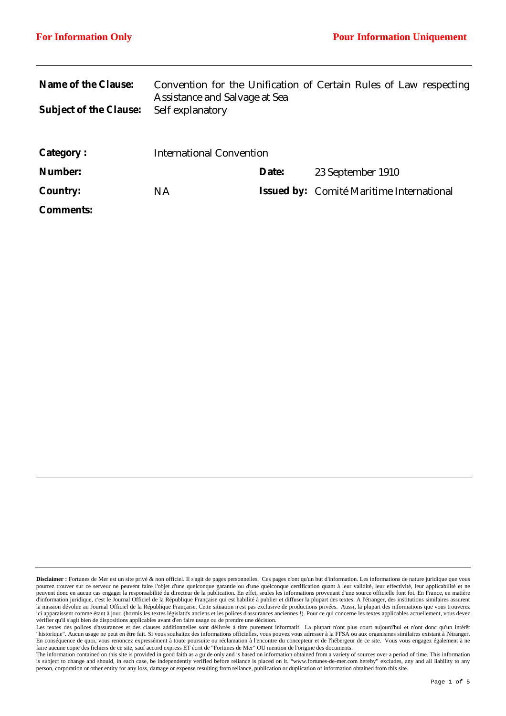| <b>Name of the Clause:</b><br><b>Subject of the Clause:</b> | Assistance and Salvage at Sea<br>Self explanatory |       | Convention for the Unification of Certain Rules of Law respecting |
|-------------------------------------------------------------|---------------------------------------------------|-------|-------------------------------------------------------------------|
| <b>Category:</b>                                            | <b>International Convention</b>                   |       |                                                                   |
| Number:                                                     |                                                   | Date: | 23 September 1910                                                 |
| <b>Country:</b>                                             | <b>NA</b>                                         |       | <b>Issued by:</b> Comité Maritime International                   |
| <b>Comments:</b>                                            |                                                   |       |                                                                   |

**Disclaimer :** Fortunes de Mer est un site privé & non officiel. Il s'agit de pages personnelles. Ces pages n'ont qu'un but d'information. Les informations de nature juridique que vous pourrez trouver sur ce serveur ne peuvent faire l'objet d'une quelconque garantie ou d'une quelconque certification quant à leur validité, leur effectivité, leur applicabilité et ne peuvent donc en aucun cas engager la responsabilité du directeur de la publication. En effet, seules les informations provenant d'une source officielle font foi. En France, en matière d'information juridique, c'est le Journal Officiel de la République Française qui est habilité à publier et diffuser la plupart des textes. A l'étranger, des institutions similaires assurent d'information juridique, c'est la mission dévolue au Journal Officiel de la République Française. Cette situation n'est pas exclusive de productions privées. Aussi, la plupart des informations que vous trouverez ici apparaissent comme étant à jour (hormis les textes législatifs anciens et les polices d'assurances anciennes !). Pour ce qui concerne les textes applicables actuellement, vous devez vérifier qu'il s'agit bien de dispositions applicables avant d'en faire usage ou de prendre une décision.

Les textes des polices d'assurances et des clauses additionnelles sont délivrés à titre purement informatif. La plupart n'ont plus court aujourd'hui et n'ont donc qu'un intérêt "historique". Aucun usage ne peut en être fait. Si vous souhaitez des informations officielles, vous pouvez vous adresser à la FFSA ou aux organismes similaires existant à l'étranger. En conséquence de quoi, vous renoncez expressément à toute poursuite ou réclamation à l'encontre du concepteur et de l'hébergeur de ce site. Vous vous engagez également à ne faire aucune copie des fichiers de ce site, sauf accord express ET écrit de "Fortunes de Mer" OU mention de l'origine des documents.

The information contained on this site is provided in good faith as a guide only and is based on information obtained from a variety of sources over a period of time. This information is subject to change and should, in each case, be independently verified before reliance is placed on it. "www.fortunes-de-mer.com hereby" excludes, any and all liability to any is subject to change and should, in each cas person, corporation or other entity for any loss, damage or expense resulting from reliance, publication or duplication of information obtained from this site.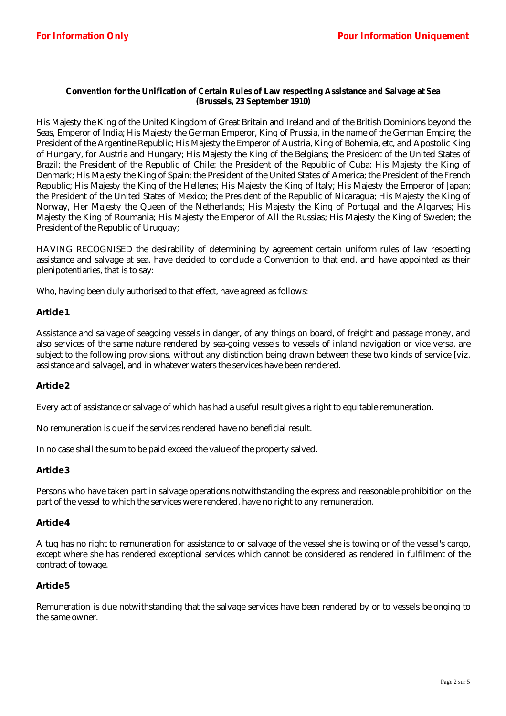#### **Convention for the Unification of Certain Rules of Law respecting Assistance and Salvage at Sea (Brussels, 23 September 1910)**

His Majesty the King of the United Kingdom of Great Britain and Ireland and of the British Dominions beyond the Seas, Emperor of India; His Majesty the German Emperor, King of Prussia, in the name of the German Empire; the President of the Argentine Republic; His Majesty the Emperor of Austria, King of Bohemia, etc, and Apostolic King of Hungary, for Austria and Hungary; His Majesty the King of the Belgians; the President of the United States of Brazil; the President of the Republic of Chile; the President of the Republic of Cuba; His Majesty the King of Denmark; His Majesty the King of Spain; the President of the United States of America; the President of the French Republic; His Majesty the King of the Hellenes; His Majesty the King of Italy; His Majesty the Emperor of Japan; the President of the United States of Mexico; the President of the Republic of Nicaragua; His Majesty the King of Norway, Her Majesty the Queen of the Netherlands; His Majesty the King of Portugal and the Algarves; His Majesty the King of Roumania; His Majesty the Emperor of All the Russias; His Majesty the King of Sweden; the President of the Republic of Uruguay;

HAVING RECOGNISED the desirability of determining by agreement certain uniform rules of law respecting assistance and salvage at sea, have decided to conclude a Convention to that end, and have appointed as their plenipotentiaries, that is to say:

Who, having been duly authorised to that effect, have agreed as follows:

# *Article 1*

Assistance and salvage of seagoing vessels in danger, of any things on board, of freight and passage money, and also services of the same nature rendered by sea-going vessels to vessels of inland navigation or vice versa, are subject to the following provisions, without any distinction being drawn between these two kinds of service [viz, assistance and salvage], and in whatever waters the services have been rendered.

## *Article 2*

Every act of assistance or salvage of which has had a useful result gives a right to equitable remuneration.

No remuneration is due if the services rendered have no beneficial result.

In no case shall the sum to be paid exceed the value of the property salved.

## *Article 3*

Persons who have taken part in salvage operations notwithstanding the express and reasonable prohibition on the part of the vessel to which the services were rendered, have no right to any remuneration.

## *Article 4*

A tug has no right to remuneration for assistance to or salvage of the vessel she is towing or of the vessel's cargo, except where she has rendered exceptional services which cannot be considered as rendered in fulfilment of the contract of towage.

## *Article 5*

Remuneration is due notwithstanding that the salvage services have been rendered by or to vessels belonging to the same owner.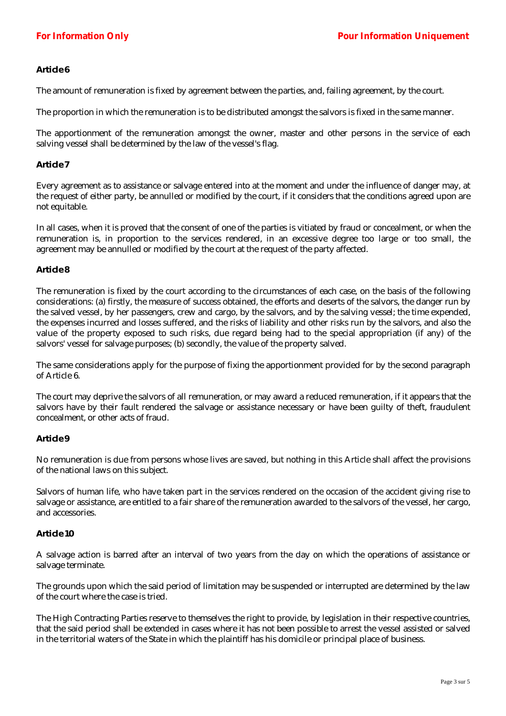# *Article 6*

The amount of remuneration is fixed by agreement between the parties, and, failing agreement, by the court.

The proportion in which the remuneration is to be distributed amongst the salvors is fixed in the same manner.

The apportionment of the remuneration amongst the owner, master and other persons in the service of each salving vessel shall be determined by the law of the vessel's flag.

## *Article 7*

Every agreement as to assistance or salvage entered into at the moment and under the influence of danger may, at the request of either party, be annulled or modified by the court, if it considers that the conditions agreed upon are not equitable.

In all cases, when it is proved that the consent of one of the parties is vitiated by fraud or concealment, or when the remuneration is, in proportion to the services rendered, in an excessive degree too large or too small, the agreement may be annulled or modified by the court at the request of the party affected.

## *Article 8*

The remuneration is fixed by the court according to the circumstances of each case, on the basis of the following considerations: (a) firstly, the measure of success obtained, the efforts and deserts of the salvors, the danger run by the salved vessel, by her passengers, crew and cargo, by the salvors, and by the salving vessel; the time expended, the expenses incurred and losses suffered, and the risks of liability and other risks run by the salvors, and also the value of the property exposed to such risks, due regard being had to the special appropriation (if any) of the salvors' vessel for salvage purposes; (b) secondly, the value of the property salved.

The same considerations apply for the purpose of fixing the apportionment provided for by the second paragraph of Article 6.

The court may deprive the salvors of all remuneration, or may award a reduced remuneration, if it appears that the salvors have by their fault rendered the salvage or assistance necessary or have been guilty of theft, fraudulent concealment, or other acts of fraud.

## *Article 9*

No remuneration is due from persons whose lives are saved, but nothing in this Article shall affect the provisions of the national laws on this subject.

Salvors of human life, who have taken part in the services rendered on the occasion of the accident giving rise to salvage or assistance, are entitled to a fair share of the remuneration awarded to the salvors of the vessel, her cargo, and accessories.

## *Article 10*

A salvage action is barred after an interval of two years from the day on which the operations of assistance or salvage terminate.

The grounds upon which the said period of limitation may be suspended or interrupted are determined by the law of the court where the case is tried.

The High Contracting Parties reserve to themselves the right to provide, by legislation in their respective countries, that the said period shall be extended in cases where it has not been possible to arrest the vessel assisted or salved in the territorial waters of the State in which the plaintiff has his domicile or principal place of business.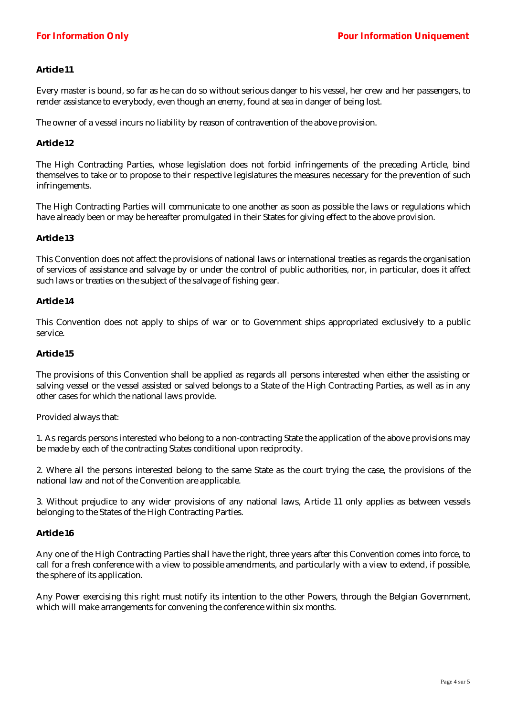## *Article 11*

Every master is bound, so far as he can do so without serious danger to his vessel, her crew and her passengers, to render assistance to everybody, even though an enemy, found at sea in danger of being lost.

The owner of a vessel incurs no liability by reason of contravention of the above provision.

#### *Article 12*

The High Contracting Parties, whose legislation does not forbid infringements of the preceding Article, bind themselves to take or to propose to their respective legislatures the measures necessary for the prevention of such infringements.

The High Contracting Parties will communicate to one another as soon as possible the laws or regulations which have already been or may be hereafter promulgated in their States for giving effect to the above provision.

#### *Article 13*

This Convention does not affect the provisions of national laws or international treaties as regards the organisation of services of assistance and salvage by or under the control of public authorities, nor, in particular, does it affect such laws or treaties on the subject of the salvage of fishing gear.

#### *Article 14*

This Convention does not apply to ships of war or to Government ships appropriated exclusively to a public service.

#### *Article 15*

The provisions of this Convention shall be applied as regards all persons interested when either the assisting or salving vessel or the vessel assisted or salved belongs to a State of the High Contracting Parties, as well as in any other cases for which the national laws provide.

Provided always that:

1. As regards persons interested who belong to a non-contracting State the application of the above provisions may be made by each of the contracting States conditional upon reciprocity.

2. Where all the persons interested belong to the same State as the court trying the case, the provisions of the national law and not of the Convention are applicable.

3. Without prejudice to any wider provisions of any national laws, Article 11 only applies as between vessels belonging to the States of the High Contracting Parties.

#### *Article 16*

Any one of the High Contracting Parties shall have the right, three years after this Convention comes into force, to call for a fresh conference with a view to possible amendments, and particularly with a view to extend, if possible, the sphere of its application.

Any Power exercising this right must notify its intention to the other Powers, through the Belgian Government, which will make arrangements for convening the conference within six months.